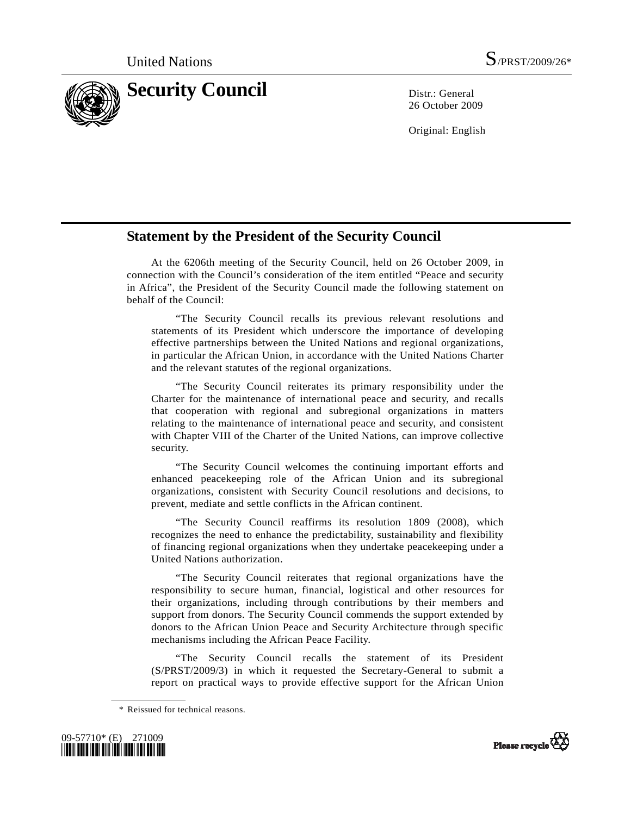

26 October 2009

Original: English

## **Statement by the President of the Security Council**

 At the 6206th meeting of the Security Council, held on 26 October 2009, in connection with the Council's consideration of the item entitled "Peace and security in Africa", the President of the Security Council made the following statement on behalf of the Council:

 "The Security Council recalls its previous relevant resolutions and statements of its President which underscore the importance of developing effective partnerships between the United Nations and regional organizations, in particular the African Union, in accordance with the United Nations Charter and the relevant statutes of the regional organizations.

 "The Security Council reiterates its primary responsibility under the Charter for the maintenance of international peace and security, and recalls that cooperation with regional and subregional organizations in matters relating to the maintenance of international peace and security, and consistent with Chapter VIII of the Charter of the United Nations, can improve collective security.

 "The Security Council welcomes the continuing important efforts and enhanced peacekeeping role of the African Union and its subregional organizations, consistent with Security Council resolutions and decisions, to prevent, mediate and settle conflicts in the African continent.

 "The Security Council reaffirms its resolution 1809 (2008), which recognizes the need to enhance the predictability, sustainability and flexibility of financing regional organizations when they undertake peacekeeping under a United Nations authorization.

 "The Security Council reiterates that regional organizations have the responsibility to secure human, financial, logistical and other resources for their organizations, including through contributions by their members and support from donors. The Security Council commends the support extended by donors to the African Union Peace and Security Architecture through specific mechanisms including the African Peace Facility.

 "The Security Council recalls the statement of its President (S/PRST/2009/3) in which it requested the Secretary-General to submit a report on practical ways to provide effective support for the African Union

 <sup>\*</sup> Reissued for technical reasons.



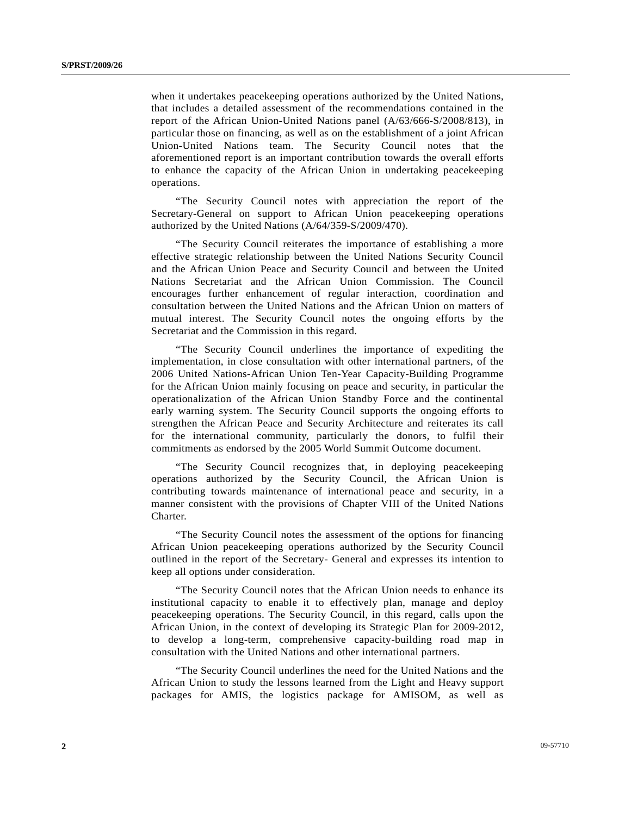when it undertakes peacekeeping operations authorized by the United Nations, that includes a detailed assessment of the recommendations contained in the report of the African Union-United Nations panel (A/63/666-S/2008/813), in particular those on financing, as well as on the establishment of a joint African Union-United Nations team. The Security Council notes that the aforementioned report is an important contribution towards the overall efforts to enhance the capacity of the African Union in undertaking peacekeeping operations.

 "The Security Council notes with appreciation the report of the Secretary-General on support to African Union peacekeeping operations authorized by the United Nations (A/64/359-S/2009/470).

 "The Security Council reiterates the importance of establishing a more effective strategic relationship between the United Nations Security Council and the African Union Peace and Security Council and between the United Nations Secretariat and the African Union Commission. The Council encourages further enhancement of regular interaction, coordination and consultation between the United Nations and the African Union on matters of mutual interest. The Security Council notes the ongoing efforts by the Secretariat and the Commission in this regard.

 "The Security Council underlines the importance of expediting the implementation, in close consultation with other international partners, of the 2006 United Nations-African Union Ten-Year Capacity-Building Programme for the African Union mainly focusing on peace and security, in particular the operationalization of the African Union Standby Force and the continental early warning system. The Security Council supports the ongoing efforts to strengthen the African Peace and Security Architecture and reiterates its call for the international community, particularly the donors, to fulfil their commitments as endorsed by the 2005 World Summit Outcome document.

 "The Security Council recognizes that, in deploying peacekeeping operations authorized by the Security Council, the African Union is contributing towards maintenance of international peace and security, in a manner consistent with the provisions of Chapter VIII of the United Nations Charter.

 "The Security Council notes the assessment of the options for financing African Union peacekeeping operations authorized by the Security Council outlined in the report of the Secretary- General and expresses its intention to keep all options under consideration.

 "The Security Council notes that the African Union needs to enhance its institutional capacity to enable it to effectively plan, manage and deploy peacekeeping operations. The Security Council, in this regard, calls upon the African Union, in the context of developing its Strategic Plan for 2009-2012, to develop a long-term, comprehensive capacity-building road map in consultation with the United Nations and other international partners.

 "The Security Council underlines the need for the United Nations and the African Union to study the lessons learned from the Light and Heavy support packages for AMIS, the logistics package for AMISOM, as well as